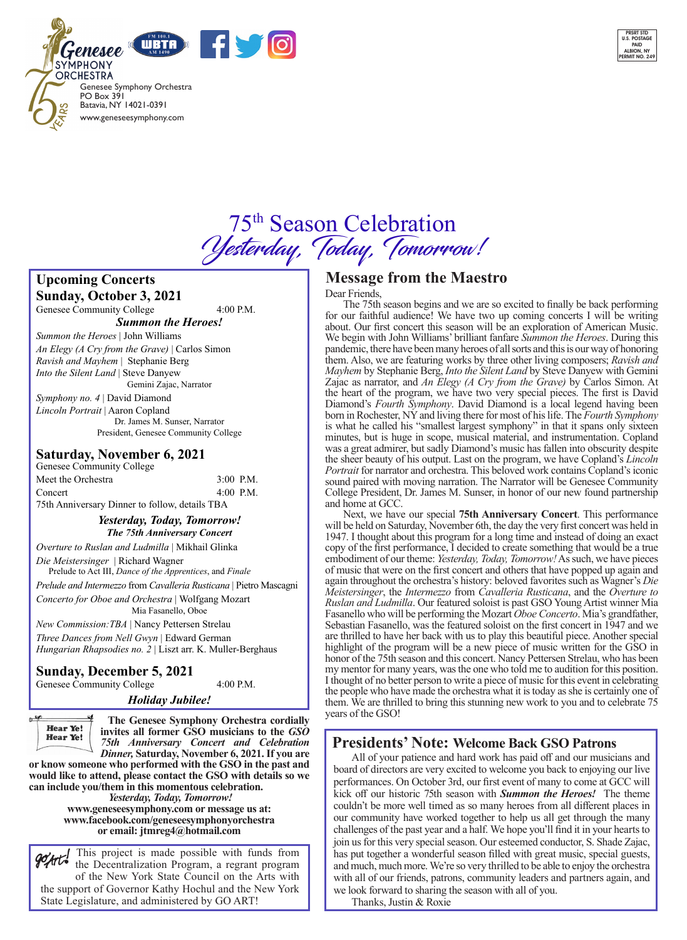



# 75th Season Celebration Yesterday, Today, Tomorrow!

**Upcoming Concerts Sunday, October 3, 2021** 

Genesee Community College  $4:00$  P.M. *Summon the Heroes!*

*Summon the Heroes* | John Williams *An Elegy (A Cry from the Grave)* | Carlos Simon *Ravish and Mayhem* | Stephanie Berg *Into the Silent Land* | Steve Danyew Gemini Zajac, Narrator

*Symphony no. 4* | David Diamond *Lincoln Portrait* | Aaron Copland Dr. James M. Sunser, Narrator President, Genesee Community College

### **Saturday, November 6, 2021**

Genesee Community College Meet the Orchestra 3:00 P.M. Concert 4:00 P.M. 75th Anniversary Dinner to follow, details TBA

> *Yesterday, Today, Tomorrow! The 75th Anniversary Concert*

*Overture to Ruslan and Ludmilla* | Mikhail Glinka

*Die Meistersinger* | Richard WagnerPrelude to Act III, *Dance of the Apprentices*, and *Finale*

*Prelude and Intermezzo* from *Cavalleria Rusticana* | Pietro Mascagni *Concerto for Oboe and Orchestra* | Wolfgang Mozart

Mia Fasanello, Oboe

*New Commission:TBA* | Nancy Pettersen Strelau *Three Dances from Nell Gwyn* | Edward German *Hungarian Rhapsodies no. 2* | Liszt arr. K. Muller-Berghaus

### **Sunday, December 5, 2021**

Genesee Community College  $4:00$  P.M.

*Holiday Jubilee!*

 $\rightarrow$ **Hear Ye!** Hear Ye!

 **The Genesee Symphony Orchestra cordially invites all former GSO musicians to the** *GSO 75th Anniversary Concert and Celebration Dinner,* **Saturday, November 6, 2021. If you are** 

**or know someone who performed with the GSO in the past and would like to attend, please contact the GSO with details so we can include you/them in this momentous celebration.**

*Yesterday, Today, Tomorrow!*  **www.geneseesymphony.com or message us at: www.facebook.com/geneseesymphonyorchestra or email: jtmreg4@hotmail.com** 

This project is made possible with funds from the Decentralization Program, a regrant program of the New York State Council on the Arts with the support of Governor Kathy Hochul and the New York State Legislature, and administered by GO ART!

### **Message from the Maestro**

### Dear Friends,

 The 75th season begins and we are so excited to finally be back performing for our faithful audience! We have two up coming concerts I will be writing about. Our first concert this season will be an exploration of American Music. We begin with John Williams' brilliant fanfare *Summon the Heroes*. During this pandemic, there have been many heroes of all sorts and this is our way of honoring them. Also, we are featuring works by three other living composers; *Ravish and Mayhem* by Stephanie Berg, *Into the Silent Land* by Steve Danyew with Gemini Zajac as narrator, and *An Elegy (A Cry from the Grave)* by Carlos Simon. At the heart of the program, we have two very special pieces. The first is David Diamond's *Fourth Symphony*. David Diamond is a local legend having been born in Rochester, NY and living there for most of his life. The *Fourth Symphony* is what he called his "smallest largest symphony" in that it spans only sixteen minutes, but is huge in scope, musical material, and instrumentation. Copland was a great admirer, but sadly Diamond's music has fallen into obscurity despite the sheer beauty of his output. Last on the program, we have Copland's *Lincoln Portrait* for narrator and orchestra. This beloved work contains Copland's iconic sound paired with moving narration. The Narrator will be Genesee Community College President, Dr. James M. Sunser, in honor of our new found partnership and home at GCC.

Next, we have our special **75th Anniversary Concert**. This performance will be held on Saturday, November 6th, the day the very first concert was held in 1947. I thought about this program for a long time and instead of doing an exact copy of the first performance, I decided to create something that would be a true embodiment of our theme: *Yesterday, Today, Tomorrow!* As such, we have pieces of music that were on the first concert and others that have popped up again and again throughout the orchestra's history: beloved favorites such as Wagner's *Die Meistersinger*, the *Intermezzo* from *Cavalleria Rusticana*, and the *Overture to Ruslan and Ludmilla*. Our featured soloist is past GSO Young Artist winner Mia Fasanello who will be performing the Mozart *Oboe Concerto*. Mia's grandfather, Sebastian Fasanello, was the featured soloist on the first concert in 1947 and we are thrilled to have her back with us to play this beautiful piece. Another special highlight of the program will be a new piece of music written for the GSO in honor of the 75th season and this concert. Nancy Pettersen Strelau, who has been my mentor for many years, was the one who told me to audition for this position. I thought of no better person to write a piece of music for this event in celebrating the people who have made the orchestra what it is today as she is certainly one of them. We are thrilled to bring this stunning new work to you and to celebrate 75 years of the GSO!

### **Presidents' Note: Welcome Back GSO Patrons**

 All of your patience and hard work has paid off and our musicians and board of directors are very excited to welcome you back to enjoying our live performances. On October 3rd, our first event of many to come at GCC will kick off our historic 75th season with *Summon the Heroes!* The theme couldn't be more well timed as so many heroes from all different places in our community have worked together to help us all get through the many challenges of the past year and a half. We hope you'll find it in your hearts to join us for this very special season. Our esteemed conductor, S. Shade Zajac, has put together a wonderful season filled with great music, special guests, and much, much more. We're so very thrilled to be able to enjoy the orchestra with all of our friends, patrons, community leaders and partners again, and we look forward to sharing the season with all of you.

Thanks, Justin & Roxie